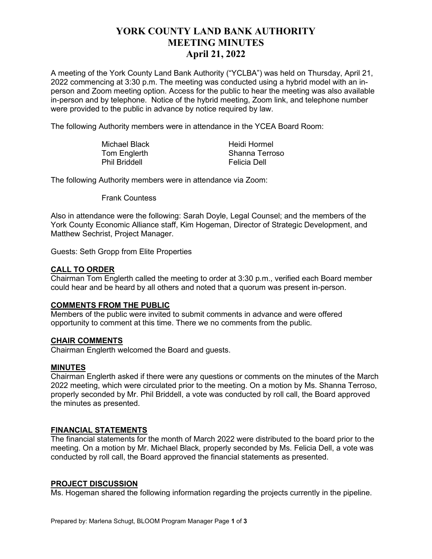# **YORK COUNTY LAND BANK AUTHORITY MEETING MINUTES April 21, 2022**

A meeting of the York County Land Bank Authority ("YCLBA") was held on Thursday, April 21, 2022 commencing at 3:30 p.m. The meeting was conducted using a hybrid model with an inperson and Zoom meeting option. Access for the public to hear the meeting was also available in-person and by telephone. Notice of the hybrid meeting, Zoom link, and telephone number were provided to the public in advance by notice required by law.

The following Authority members were in attendance in the YCEA Board Room:

| <b>Michael Black</b> | Heidi Hormel   |
|----------------------|----------------|
| Tom Englerth         | Shanna Terroso |
| <b>Phil Briddell</b> | Felicia Dell   |

The following Authority members were in attendance via Zoom:

Frank Countess

Also in attendance were the following: Sarah Doyle, Legal Counsel; and the members of the York County Economic Alliance staff, Kim Hogeman, Director of Strategic Development, and Matthew Sechrist, Project Manager.

Guests: Seth Gropp from Elite Properties

## **CALL TO ORDER**

Chairman Tom Englerth called the meeting to order at 3:30 p.m., verified each Board member could hear and be heard by all others and noted that a quorum was present in-person.

## **COMMENTS FROM THE PUBLIC**

Members of the public were invited to submit comments in advance and were offered opportunity to comment at this time. There we no comments from the public.

## **CHAIR COMMENTS**

Chairman Englerth welcomed the Board and guests.

## **MINUTES**

Chairman Englerth asked if there were any questions or comments on the minutes of the March 2022 meeting, which were circulated prior to the meeting. On a motion by Ms. Shanna Terroso, properly seconded by Mr. Phil Briddell, a vote was conducted by roll call, the Board approved the minutes as presented.

## **FINANCIAL STATEMENTS**

The financial statements for the month of March 2022 were distributed to the board prior to the meeting. On a motion by Mr. Michael Black, properly seconded by Ms. Felicia Dell, a vote was conducted by roll call, the Board approved the financial statements as presented.

#### **PROJECT DISCUSSION**

Ms. Hogeman shared the following information regarding the projects currently in the pipeline.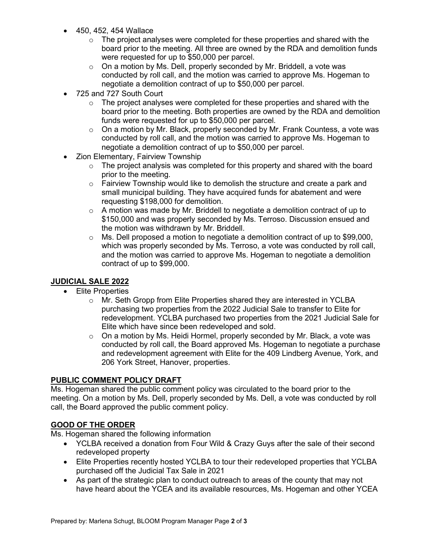- 450, 452, 454 Wallace
	- $\circ$  The project analyses were completed for these properties and shared with the board prior to the meeting. All three are owned by the RDA and demolition funds were requested for up to \$50,000 per parcel.
	- o On a motion by Ms. Dell, properly seconded by Mr. Briddell, a vote was conducted by roll call, and the motion was carried to approve Ms. Hogeman to negotiate a demolition contract of up to \$50,000 per parcel.
- 725 and 727 South Court
	- $\circ$  The project analyses were completed for these properties and shared with the board prior to the meeting. Both properties are owned by the RDA and demolition funds were requested for up to \$50,000 per parcel.
	- $\circ$  On a motion by Mr. Black, properly seconded by Mr. Frank Countess, a vote was conducted by roll call, and the motion was carried to approve Ms. Hogeman to negotiate a demolition contract of up to \$50,000 per parcel.
- Zion Elementary, Fairview Township
	- $\circ$  The project analysis was completed for this property and shared with the board prior to the meeting.
	- $\circ$  Fairview Township would like to demolish the structure and create a park and small municipal building. They have acquired funds for abatement and were requesting \$198,000 for demolition.
	- $\circ$  A motion was made by Mr. Briddell to negotiate a demolition contract of up to \$150,000 and was properly seconded by Ms. Terroso. Discussion ensued and the motion was withdrawn by Mr. Briddell.
	- $\circ$  Ms. Dell proposed a motion to negotiate a demolition contract of up to \$99,000, which was properly seconded by Ms. Terroso, a vote was conducted by roll call, and the motion was carried to approve Ms. Hogeman to negotiate a demolition contract of up to \$99,000.

## **JUDICIAL SALE 2022**

- Elite Properties
	- o Mr. Seth Gropp from Elite Properties shared they are interested in YCLBA purchasing two properties from the 2022 Judicial Sale to transfer to Elite for redevelopment. YCLBA purchased two properties from the 2021 Judicial Sale for Elite which have since been redeveloped and sold.
	- $\circ$  On a motion by Ms. Heidi Hormel, properly seconded by Mr. Black, a vote was conducted by roll call, the Board approved Ms. Hogeman to negotiate a purchase and redevelopment agreement with Elite for the 409 Lindberg Avenue, York, and 206 York Street, Hanover, properties.

## **PUBLIC COMMENT POLICY DRAFT**

Ms. Hogeman shared the public comment policy was circulated to the board prior to the meeting. On a motion by Ms. Dell, properly seconded by Ms. Dell, a vote was conducted by roll call, the Board approved the public comment policy.

## **GOOD OF THE ORDER**

Ms. Hogeman shared the following information

- YCLBA received a donation from Four Wild & Crazy Guys after the sale of their second redeveloped property
- Elite Properties recently hosted YCLBA to tour their redeveloped properties that YCLBA purchased off the Judicial Tax Sale in 2021
- As part of the strategic plan to conduct outreach to areas of the county that may not have heard about the YCEA and its available resources, Ms. Hogeman and other YCEA